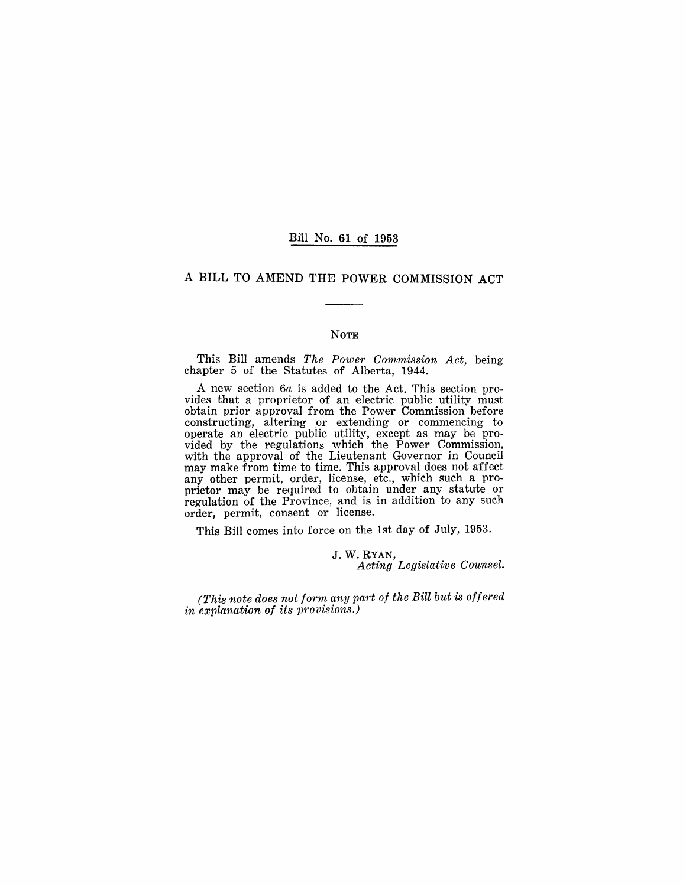#### Bill No. 61 of 1953

## A BILL TO AMEND THE POWER COMMISSION ACT

#### NOTE

This Bill amends *The Power Commission Act*, being chapter 5 of the Statutes of Alberta, 1944.

A new section 6a is added to the Act. This section provides that a proprietor of an electric public utility must obtain prior approval from the Power Commission before constructing, altering or extending or commencing to operate an electric public utility, except as may be provided by the regulations which the Power Commission, with the approval of the Lieutenant Governor in Council may make from time to time. This approval does not affect any other permit, order, license, etc., which such a proprietor may be required to obtain under any statute or regulation of the Province, and is in addition to any such order, permit, consent or license.

This Bill comes into force on the 1st day of July, 1953.

J. W. RYAN, *Acting Legislative Counsel.* 

*(This note does not form any part of the Bill but* is *offered*  in explanation of its provisions.)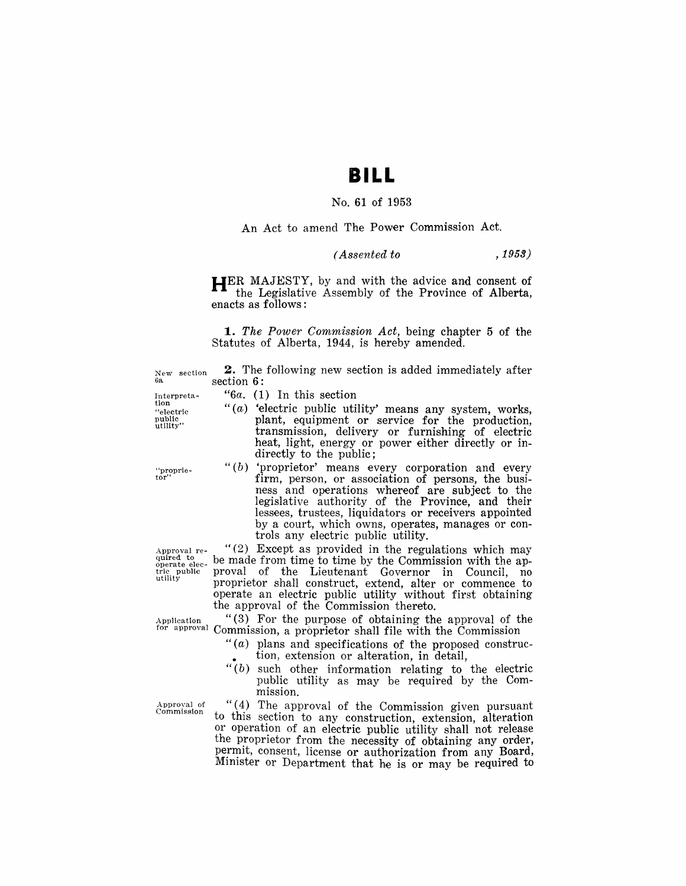# **BILL**

#### No. **61** of 1953

An Act to amend The Power Commission Act.

### *( Assented to* , 1953)

**HER** MAJESTY, by and with the advice and consent of the Legislative Assembly of the Province of Alberta, enacts as follows:

**1.** *The Power Commission Act,* being chapter 5 of the Statutes of Alberta, 1944, is hereby amended.

New section **2.** The following new section is added immediately after  $\frac{a}{6}$ . section 6:

- *"6a.* (1) In this section
- " $(a)$  'electric public utility' means any system, works, plant, equipment or service for the production, transmission, delivery or furnishing of electric heat, light, energy or power either directly or indirectly to the public;
- " $(b)$  'proprietor' means every corporation and every firm, person, or association of persons, the business and operations whereof are subject to the legislative authority of the Province, and their lessees, trustees, liquidators or receivers appointed by a court, which owns, operates, manages or controls any electric public utility.

Approval re- " $(2)$  Except as provided in the regulations which may  $_{\text{operate}}^{\text{quired to}}$  be made from time to time by the Commission with the aptric public proval of the Lieutenant Governor in Council, no proprietor shall construct, extend, alter or commence to operate an electric public utility without first obtaining the approval of the Commission thereto.

Application  $\binom{4}{3}$  For the purpose of obtaining the approval of the for approval Commission, a proprietor shall file with the Commission

- " $(a)$  plans and specifications of the proposed construc-• tion) extension or alteration, in detail,
- $``(b)$  such other information relating to the electric public utility as may be required by the Commission.

Approval of  $"$  (4) The approval of the Commission given pursuant commission to this section to any construction, extension, alteration or operation of an electric public utility shall not release the proprietor from the necessity of obtaining any order, permit, consent, license or authorization from any Board, Minister or Department that he is or may be required to

Interpretation "electric

"proprie-tor"

public<br>utility''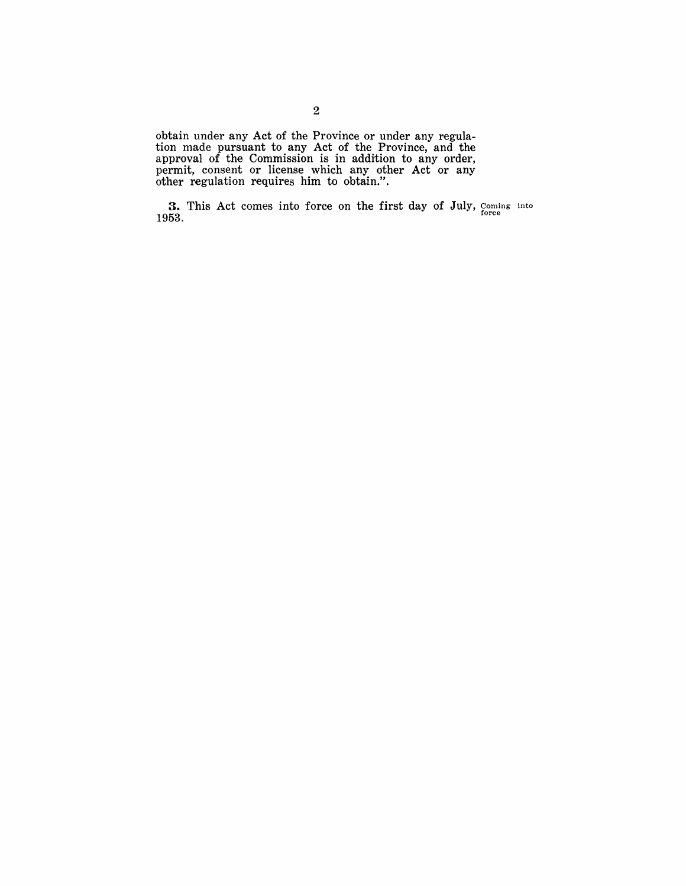obtain under any Act of the Province or under any regulation made pursuant to any Act of the Province, and the approval of the Commission is in addition to any order, permit, consent or license which any other Act or any other regulation requires him to obtain.".

**3.** This Act comes into force on the first day of July, Coming into 1953.